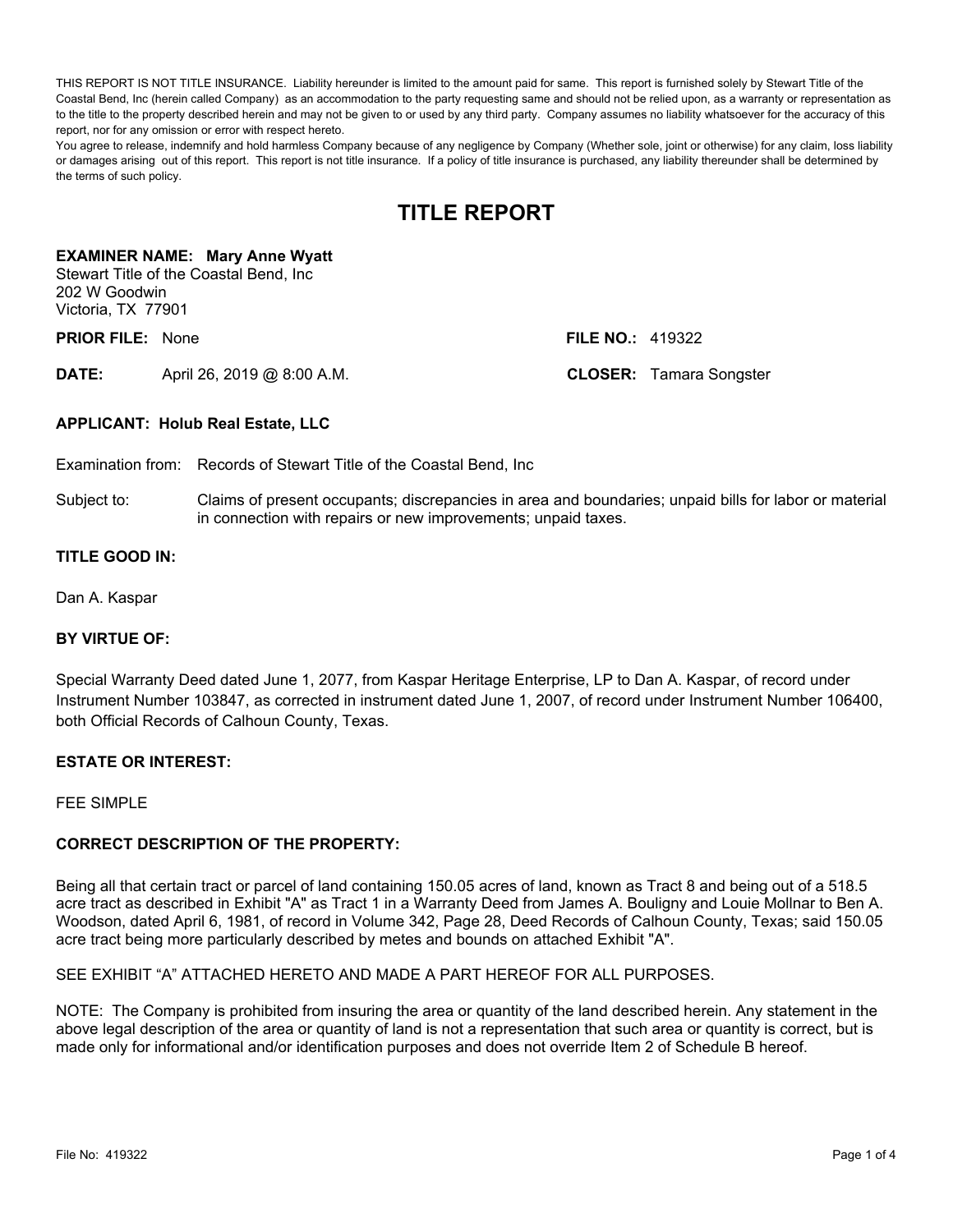THIS REPORT IS NOT TITLE INSURANCE. Liability hereunder is limited to the amount paid for same. This report is furnished solely by Stewart Title of the Coastal Bend, Inc (herein called Company) as an accommodation to the party requesting same and should not be relied upon, as a warranty or representation as to the title to the property described herein and may not be given to or used by any third party. Company assumes no liability whatsoever for the accuracy of this report, nor for any omission or error with respect hereto.

You agree to release, indemnify and hold harmless Company because of any negligence by Company (Whether sole, joint or otherwise) for any claim, loss liability or damages arising out of this report. This report is not title insurance. If a policy of title insurance is purchased, any liability thereunder shall be determined by the terms of such policy.

# **TITLE REPORT**

### **EXAMINER NAME: Mary Anne Wyatt**

Stewart Title of the Coastal Bend, Inc 202 W Goodwin Victoria, TX 77901

**PRIOR FILE:** None **FILE NO.:** 419322

**DATE:** April 26, 2019 @ 8:00 A.M. **CLOSER:** Tamara Songster

### **APPLICANT: Holub Real Estate, LLC**

Examination from: Records of Stewart Title of the Coastal Bend, Inc

Subject to: Claims of present occupants; discrepancies in area and boundaries; unpaid bills for labor or material in connection with repairs or new improvements; unpaid taxes.

### **TITLE GOOD IN:**

Dan A. Kaspar

### **BY VIRTUE OF:**

Special Warranty Deed dated June 1, 2077, from Kaspar Heritage Enterprise, LP to Dan A. Kaspar, of record under Instrument Number 103847, as corrected in instrument dated June 1, 2007, of record under Instrument Number 106400, both Official Records of Calhoun County, Texas.

### **ESTATE OR INTEREST:**

FFF SIMPLE

### **CORRECT DESCRIPTION OF THE PROPERTY:**

Being all that certain tract or parcel of land containing 150.05 acres of land, known as Tract 8 and being out of a 518.5 acre tract as described in Exhibit "A" as Tract 1 in a Warranty Deed from James A. Bouligny and Louie Mollnar to Ben A. Woodson, dated April 6, 1981, of record in Volume 342, Page 28, Deed Records of Calhoun County, Texas; said 150.05 acre tract being more particularly described by metes and bounds on attached Exhibit "A".

SEE EXHIBIT "A" ATTACHED HERETO AND MADE A PART HEREOF FOR ALL PURPOSES.

NOTE: The Company is prohibited from insuring the area or quantity of the land described herein. Any statement in the above legal description of the area or quantity of land is not a representation that such area or quantity is correct, but is made only for informational and/or identification purposes and does not override Item 2 of Schedule B hereof.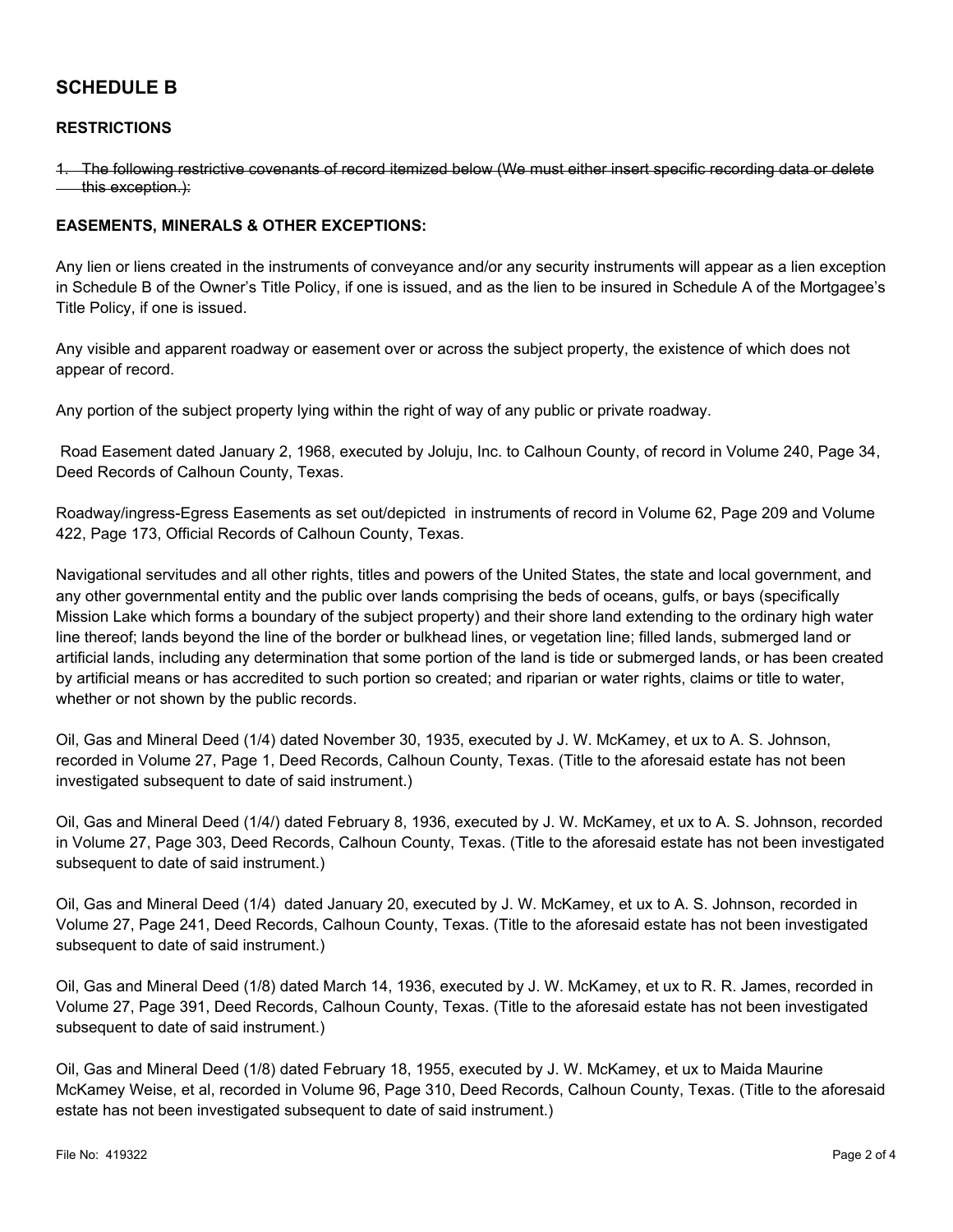# **SCHEDULE B**

### **RESTRICTIONS**

1. The following restrictive covenants of record itemized below (We must either insert specific recording data or delete **this exception.):** 

### **EASEMENTS, MINERALS & OTHER EXCEPTIONS:**

Any lien or liens created in the instruments of conveyance and/or any security instruments will appear as a lien exception in Schedule B of the Owner's Title Policy, if one is issued, and as the lien to be insured in Schedule A of the Mortgagee's Title Policy, if one is issued.

Any visible and apparent roadway or easement over or across the subject property, the existence of which does not appear of record.

Any portion of the subject property lying within the right of way of any public or private roadway.

Road Easement dated January 2, 1968, executed by Joluju, Inc. to Calhoun County, of record in Volume 240, Page 34, Deed Records of Calhoun County, Texas.

Roadway/ingress-Egress Easements as set out/depicted in instruments of record in Volume 62, Page 209 and Volume 422, Page 173, Official Records of Calhoun County, Texas.

Navigational servitudes and all other rights, titles and powers of the United States, the state and local government, and any other governmental entity and the public over lands comprising the beds of oceans, gulfs, or bays (specifically Mission Lake which forms a boundary of the subject property) and their shore land extending to the ordinary high water line thereof; lands beyond the line of the border or bulkhead lines, or vegetation line; filled lands, submerged land or artificial lands, including any determination that some portion of the land is tide or submerged lands, or has been created by artificial means or has accredited to such portion so created; and riparian or water rights, claims or title to water, whether or not shown by the public records.

Oil, Gas and Mineral Deed (1/4) dated November 30, 1935, executed by J. W. McKamey, et ux to A. S. Johnson, recorded in Volume 27, Page 1, Deed Records, Calhoun County, Texas. (Title to the aforesaid estate has not been investigated subsequent to date of said instrument.)

Oil, Gas and Mineral Deed (1/4/) dated February 8, 1936, executed by J. W. McKamey, et ux to A. S. Johnson, recorded in Volume 27, Page 303, Deed Records, Calhoun County, Texas. (Title to the aforesaid estate has not been investigated subsequent to date of said instrument.)

Oil, Gas and Mineral Deed (1/4) dated January 20, executed by J. W. McKamey, et ux to A. S. Johnson, recorded in Volume 27, Page 241, Deed Records, Calhoun County, Texas. (Title to the aforesaid estate has not been investigated subsequent to date of said instrument.)

Oil, Gas and Mineral Deed (1/8) dated March 14, 1936, executed by J. W. McKamey, et ux to R. R. James, recorded in Volume 27, Page 391, Deed Records, Calhoun County, Texas. (Title to the aforesaid estate has not been investigated subsequent to date of said instrument.)

Oil, Gas and Mineral Deed (1/8) dated February 18, 1955, executed by J. W. McKamey, et ux to Maida Maurine McKamey Weise, et al, recorded in Volume 96, Page 310, Deed Records, Calhoun County, Texas. (Title to the aforesaid estate has not been investigated subsequent to date of said instrument.)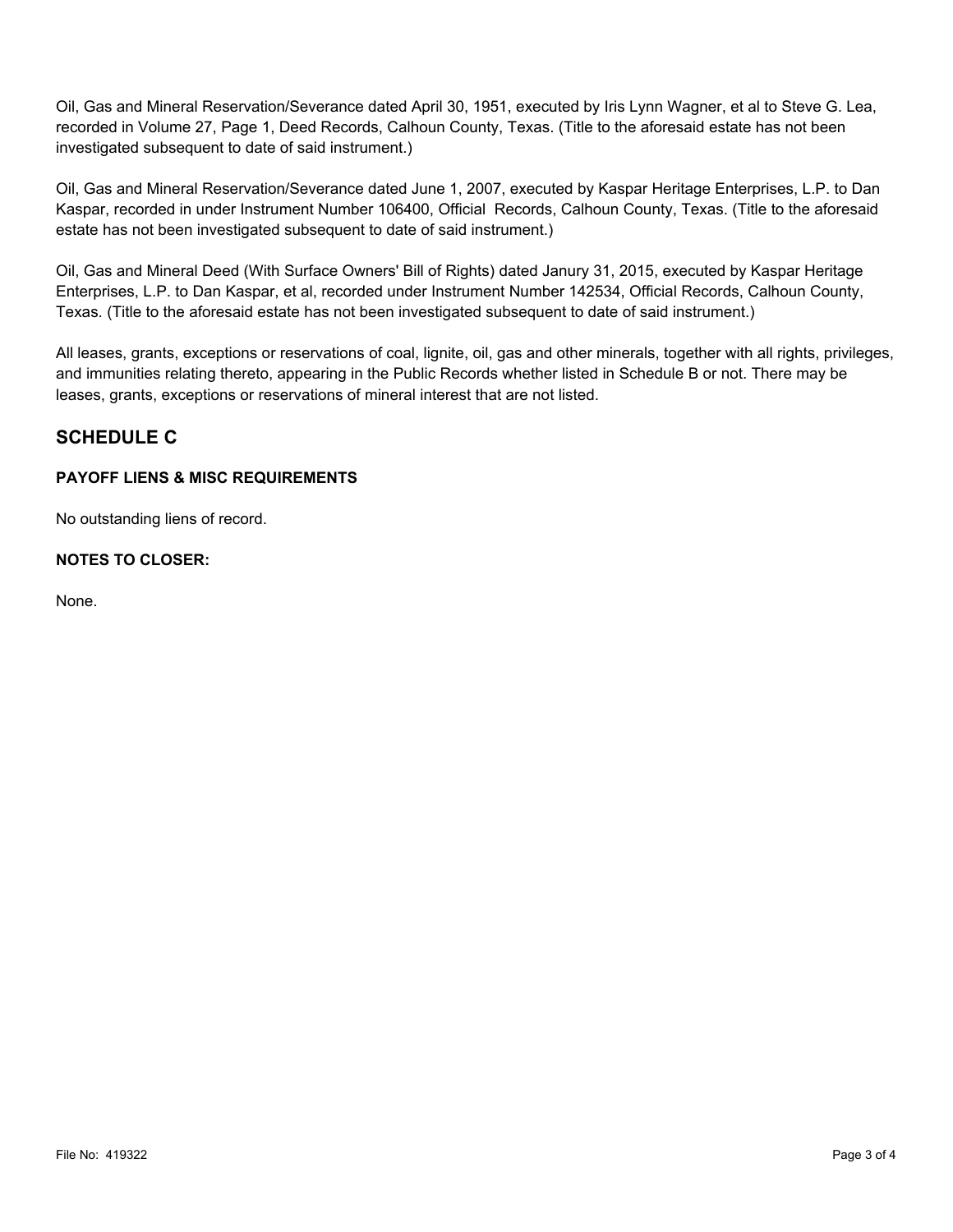Oil, Gas and Mineral Reservation/Severance dated April 30, 1951, executed by Iris Lynn Wagner, et al to Steve G. Lea, recorded in Volume 27, Page 1, Deed Records, Calhoun County, Texas. (Title to the aforesaid estate has not been investigated subsequent to date of said instrument.)

Oil, Gas and Mineral Reservation/Severance dated June 1, 2007, executed by Kaspar Heritage Enterprises, L.P. to Dan Kaspar, recorded in under Instrument Number 106400, Official Records, Calhoun County, Texas. (Title to the aforesaid estate has not been investigated subsequent to date of said instrument.)

Oil, Gas and Mineral Deed (With Surface Owners' Bill of Rights) dated Janury 31, 2015, executed by Kaspar Heritage Enterprises, L.P. to Dan Kaspar, et al, recorded under Instrument Number 142534, Official Records, Calhoun County, Texas. (Title to the aforesaid estate has not been investigated subsequent to date of said instrument.)

All leases, grants, exceptions or reservations of coal, lignite, oil, gas and other minerals, together with all rights, privileges, and immunities relating thereto, appearing in the Public Records whether listed in Schedule B or not. There may be leases, grants, exceptions or reservations of mineral interest that are not listed.

# **SCHEDULE C**

## **PAYOFF LIENS & MISC REQUIREMENTS**

No outstanding liens of record.

## **NOTES TO CLOSER:**

None.